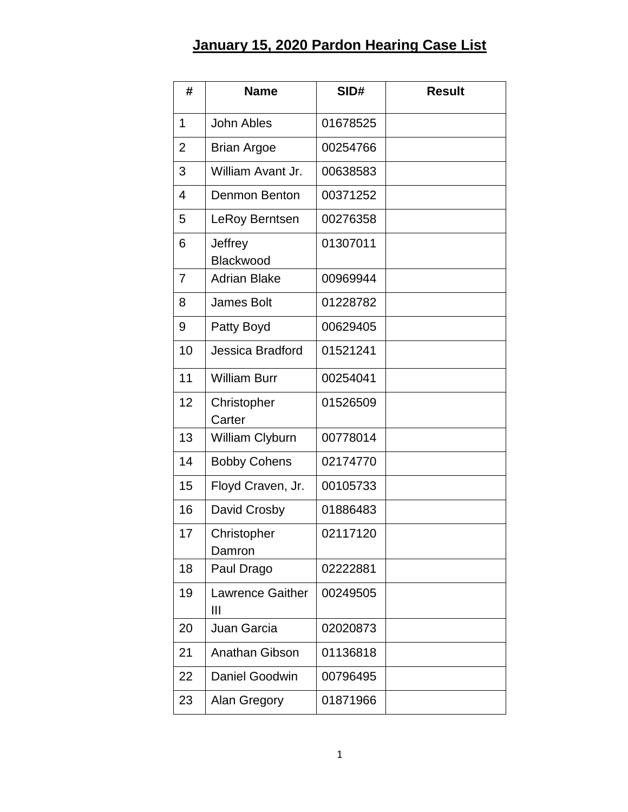## **January 15, 2020 Pardon Hearing Case List**

| #              | <b>Name</b>             | SID#     | <b>Result</b> |
|----------------|-------------------------|----------|---------------|
| 1              | <b>John Ables</b>       | 01678525 |               |
| $\overline{2}$ | <b>Brian Argoe</b>      | 00254766 |               |
| 3              | William Avant Jr.       | 00638583 |               |
| $\overline{4}$ | Denmon Benton           | 00371252 |               |
| 5              | LeRoy Berntsen          | 00276358 |               |
| 6              | Jeffrey<br>Blackwood    | 01307011 |               |
| 7              | <b>Adrian Blake</b>     | 00969944 |               |
| 8              | <b>James Bolt</b>       | 01228782 |               |
| 9              | Patty Boyd              | 00629405 |               |
| 10             | <b>Jessica Bradford</b> | 01521241 |               |
| 11             | <b>William Burr</b>     | 00254041 |               |
| 12             | Christopher<br>Carter   | 01526509 |               |
| 13             | William Clyburn         | 00778014 |               |
| 14             | <b>Bobby Cohens</b>     | 02174770 |               |
| 15             | Floyd Craven, Jr.       | 00105733 |               |
| 16             | David Crosby            | 01886483 |               |
| 17             | Christopher<br>Damron   | 02117120 |               |
| 18             | Paul Drago              | 02222881 |               |
| 19             | Lawrence Gaither<br>Ш   | 00249505 |               |
| 20             | Juan Garcia             | 02020873 |               |
| 21             | Anathan Gibson          | 01136818 |               |
| 22             | Daniel Goodwin          | 00796495 |               |
| 23             | Alan Gregory            | 01871966 |               |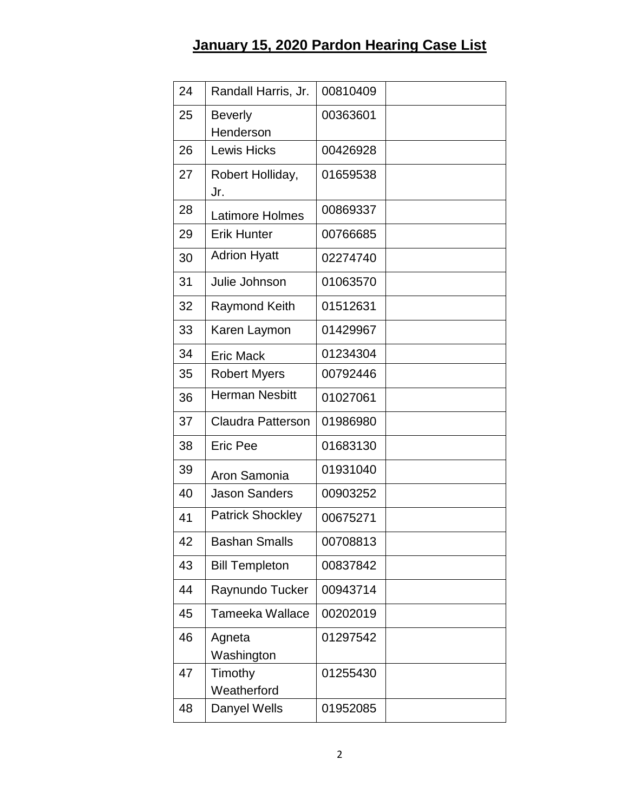## **January 15, 2020 Pardon Hearing Case List**

| 24 | Randall Harris, Jr.         | 00810409 |  |
|----|-----------------------------|----------|--|
| 25 | <b>Beverly</b><br>Henderson | 00363601 |  |
| 26 | <b>Lewis Hicks</b>          | 00426928 |  |
| 27 | Robert Holliday,<br>Jr.     | 01659538 |  |
| 28 | <b>Latimore Holmes</b>      | 00869337 |  |
| 29 | <b>Erik Hunter</b>          | 00766685 |  |
| 30 | <b>Adrion Hyatt</b>         | 02274740 |  |
| 31 | Julie Johnson               | 01063570 |  |
| 32 | <b>Raymond Keith</b>        | 01512631 |  |
| 33 | Karen Laymon                | 01429967 |  |
| 34 | <b>Eric Mack</b>            | 01234304 |  |
| 35 | <b>Robert Myers</b>         | 00792446 |  |
| 36 | <b>Herman Nesbitt</b>       | 01027061 |  |
| 37 | <b>Claudra Patterson</b>    | 01986980 |  |
| 38 | <b>Eric Pee</b>             | 01683130 |  |
| 39 | Aron Samonia                | 01931040 |  |
| 40 | <b>Jason Sanders</b>        | 00903252 |  |
| 41 | <b>Patrick Shockley</b>     | 00675271 |  |
| 42 | <b>Bashan Smalls</b>        | 00708813 |  |
| 43 | <b>Bill Templeton</b>       | 00837842 |  |
| 44 | Raynundo Tucker             | 00943714 |  |
| 45 | Tameeka Wallace             | 00202019 |  |
| 46 | Agneta<br>Washington        | 01297542 |  |
| 47 | Timothy<br>Weatherford      | 01255430 |  |
| 48 | Danyel Wells                | 01952085 |  |